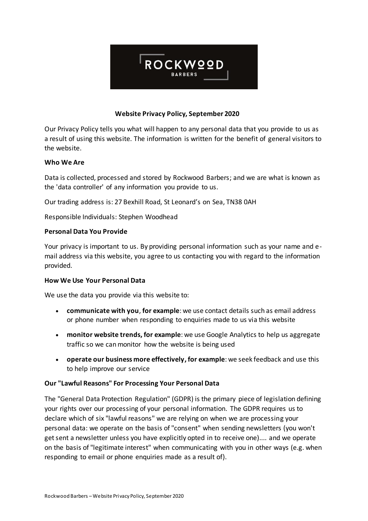

# **Website Privacy Policy, September 2020**

Our Privacy Policy tells you what will happen to any personal data that you provide to us as a result of using this website. The information is written for the benefit of general visitors to the website.

## **Who We Are**

Data is collected, processed and stored by Rockwood Barbers; and we are what is known as the 'data controller' of any information you provide to us.

Our trading address is: 27 Bexhill Road, St Leonard's on Sea, TN38 0AH

Responsible Individuals: Stephen Woodhead

## **Personal Data You Provide**

Your privacy is important to us. By providing personal information such as your name and email address via this website, you agree to us contacting you with regard to the information provided.

## **How We Use Your Personal Data**

We use the data you provide via this website to:

- **communicate with you**, **for example**: we use contact details such as email address or phone number when responding to enquiries made to us via this website
- **monitor website trends, for example**: we use Google Analytics to help us aggregate traffic so we can monitor how the website is being used
- **operate our business more effectively, for example**: we seek feedback and use this to help improve our service

# **Our "Lawful Reasons" For Processing Your Personal Data**

The "General Data Protection Regulation" (GDPR) is the primary piece of legislation defining your rights over our processing of your personal information. The GDPR requires us to declare which of six "lawful reasons" we are relying on when we are processing your personal data: we operate on the basis of "consent" when sending newsletters (you won't get sent a newsletter unless you have explicitly opted in to receive one).... and we operate on the basis of "legitimate interest" when communicating with you in other ways (e.g. when responding to email or phone enquiries made as a result of).